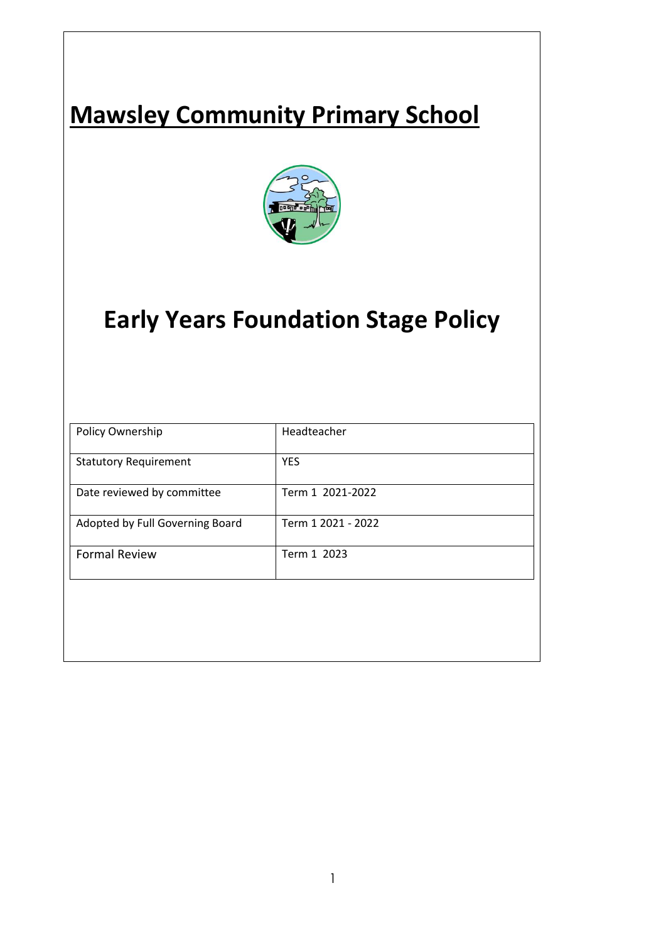# **Mawsley Community Primary School**



## **Early Years Foundation Stage Policy**

| Policy Ownership                | Headteacher        |
|---------------------------------|--------------------|
| <b>Statutory Requirement</b>    | <b>YES</b>         |
| Date reviewed by committee      | Term 1 2021-2022   |
| Adopted by Full Governing Board | Term 1 2021 - 2022 |
| <b>Formal Review</b>            | Term 1 2023        |
|                                 |                    |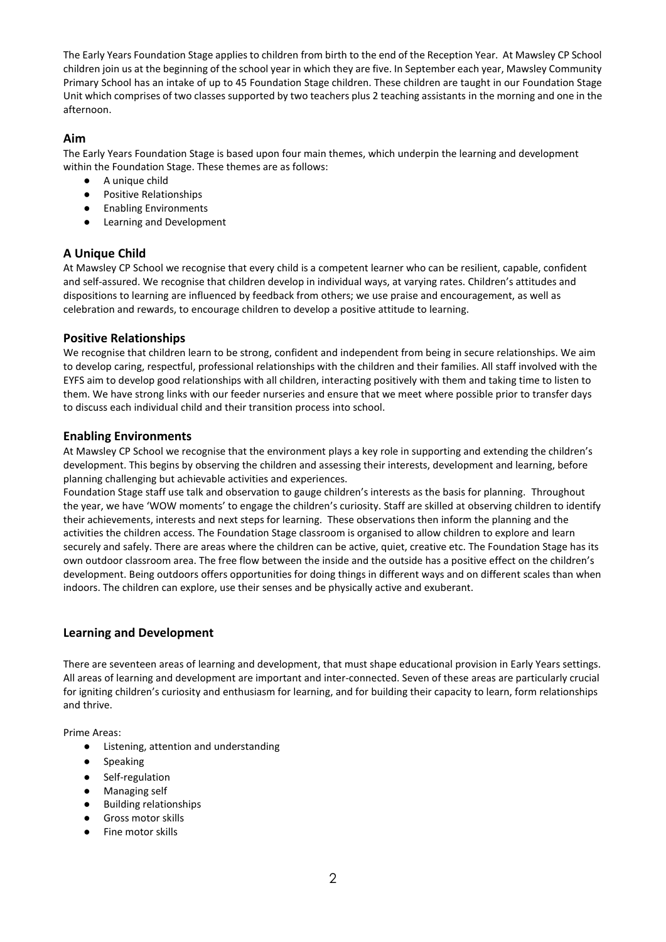The Early Years Foundation Stage applies to children from birth to the end of the Reception Year. At Mawsley CP School children join us at the beginning of the school year in which they are five. In September each year, Mawsley Community Primary School has an intake of up to 45 Foundation Stage children. These children are taught in our Foundation Stage Unit which comprises of two classes supported by two teachers plus 2 teaching assistants in the morning and one in the afternoon.

## **Aim**

The Early Years Foundation Stage is based upon four main themes, which underpin the learning and development within the Foundation Stage. These themes are as follows:

- A unique child
- Positive Relationships
- Enabling Environments
- Learning and Development

## **A Unique Child**

At Mawsley CP School we recognise that every child is a competent learner who can be resilient, capable, confident and self-assured. We recognise that children develop in individual ways, at varying rates. Children's attitudes and dispositions to learning are influenced by feedback from others; we use praise and encouragement, as well as celebration and rewards, to encourage children to develop a positive attitude to learning.

## **Positive Relationships**

We recognise that children learn to be strong, confident and independent from being in secure relationships. We aim to develop caring, respectful, professional relationships with the children and their families. All staff involved with the EYFS aim to develop good relationships with all children, interacting positively with them and taking time to listen to them. We have strong links with our feeder nurseries and ensure that we meet where possible prior to transfer days to discuss each individual child and their transition process into school.

## **Enabling Environments**

At Mawsley CP School we recognise that the environment plays a key role in supporting and extending the children's development. This begins by observing the children and assessing their interests, development and learning, before planning challenging but achievable activities and experiences.

Foundation Stage staff use talk and observation to gauge children's interests as the basis for planning. Throughout the year, we have 'WOW moments' to engage the children's curiosity. Staff are skilled at observing children to identify their achievements, interests and next steps for learning. These observations then inform the planning and the activities the children access. The Foundation Stage classroom is organised to allow children to explore and learn securely and safely. There are areas where the children can be active, quiet, creative etc. The Foundation Stage has its own outdoor classroom area. The free flow between the inside and the outside has a positive effect on the children's development. Being outdoors offers opportunities for doing things in different ways and on different scales than when indoors. The children can explore, use their senses and be physically active and exuberant.

## **Learning and Development**

There are seventeen areas of learning and development, that must shape educational provision in Early Years settings. All areas of learning and development are important and inter-connected. Seven of these areas are particularly crucial for igniting children's curiosity and enthusiasm for learning, and for building their capacity to learn, form relationships and thrive.

Prime Areas:

- Listening, attention and understanding
- Speaking
- Self-regulation
- Managing self
- Building relationships
- Gross motor skills
- Fine motor skills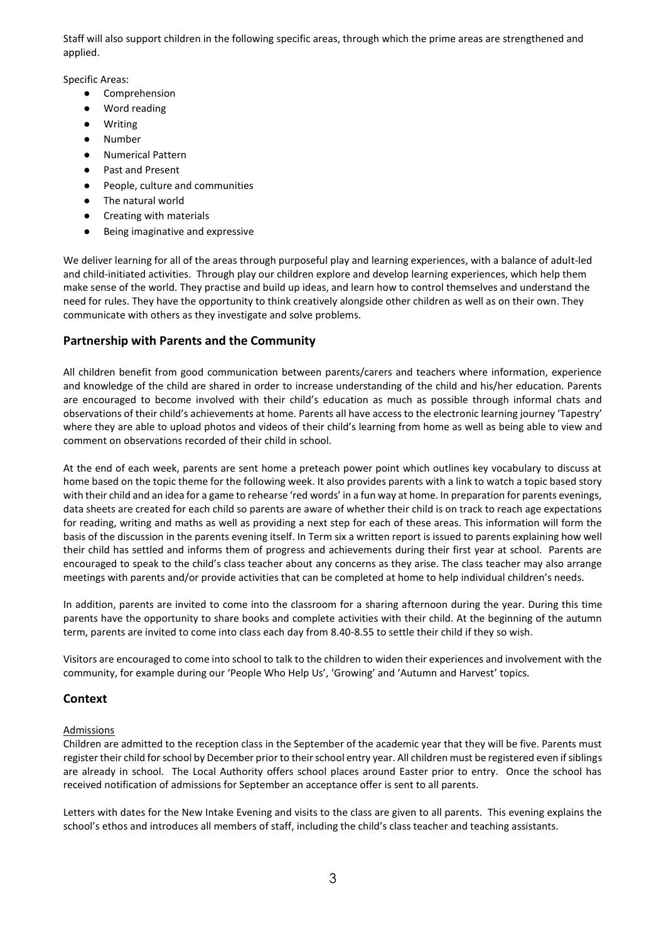Staff will also support children in the following specific areas, through which the prime areas are strengthened and applied.

Specific Areas:

- Comprehension
- Word reading
- Writing
- Number
- Numerical Pattern
- Past and Present
- People, culture and communities
- The natural world
- Creating with materials
- Being imaginative and expressive

We deliver learning for all of the areas through purposeful play and learning experiences, with a balance of adult-led and child-initiated activities. Through play our children explore and develop learning experiences, which help them make sense of the world. They practise and build up ideas, and learn how to control themselves and understand the need for rules. They have the opportunity to think creatively alongside other children as well as on their own. They communicate with others as they investigate and solve problems.

## **Partnership with Parents and the Community**

All children benefit from good communication between parents/carers and teachers where information, experience and knowledge of the child are shared in order to increase understanding of the child and his/her education. Parents are encouraged to become involved with their child's education as much as possible through informal chats and observations of their child's achievements at home. Parents all have access to the electronic learning journey 'Tapestry' where they are able to upload photos and videos of their child's learning from home as well as being able to view and comment on observations recorded of their child in school.

At the end of each week, parents are sent home a preteach power point which outlines key vocabulary to discuss at home based on the topic theme for the following week. It also provides parents with a link to watch a topic based story with their child and an idea for a game to rehearse 'red words' in a fun way at home. In preparation for parents evenings, data sheets are created for each child so parents are aware of whether their child is on track to reach age expectations for reading, writing and maths as well as providing a next step for each of these areas. This information will form the basis of the discussion in the parents evening itself. In Term six a written report is issued to parents explaining how well their child has settled and informs them of progress and achievements during their first year at school. Parents are encouraged to speak to the child's class teacher about any concerns as they arise. The class teacher may also arrange meetings with parents and/or provide activities that can be completed at home to help individual children's needs.

In addition, parents are invited to come into the classroom for a sharing afternoon during the year. During this time parents have the opportunity to share books and complete activities with their child. At the beginning of the autumn term, parents are invited to come into class each day from 8.40-8.55 to settle their child if they so wish.

Visitors are encouraged to come into school to talk to the children to widen their experiences and involvement with the community, for example during our 'People Who Help Us', 'Growing' and 'Autumn and Harvest' topics.

## **Context**

## Admissions

Children are admitted to the reception class in the September of the academic year that they will be five. Parents must register their child for school by December prior to their school entry year. All children must be registered even if siblings are already in school. The Local Authority offers school places around Easter prior to entry. Once the school has received notification of admissions for September an acceptance offer is sent to all parents.

Letters with dates for the New Intake Evening and visits to the class are given to all parents. This evening explains the school's ethos and introduces all members of staff, including the child's class teacher and teaching assistants.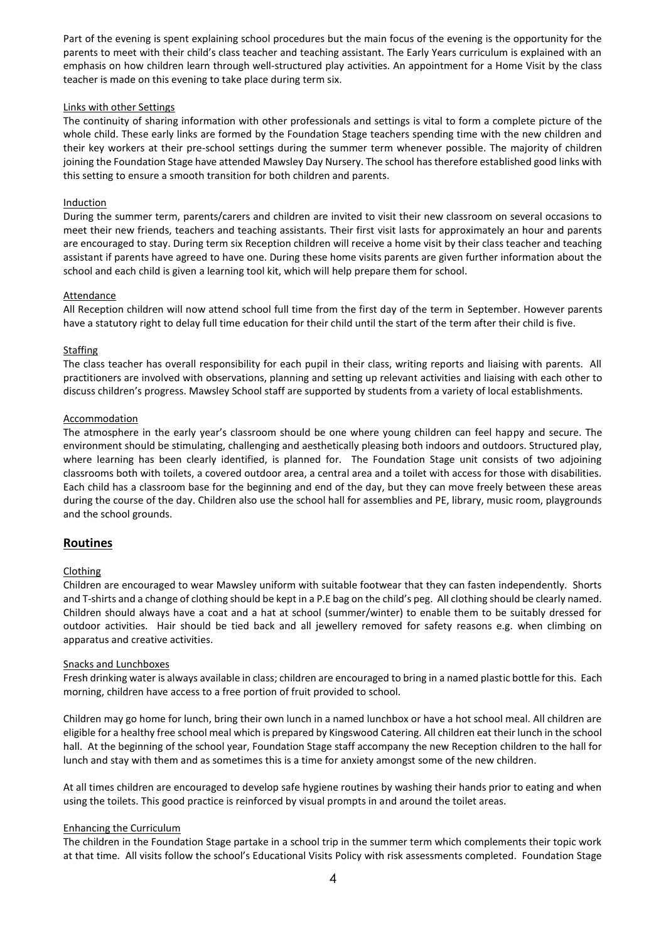Part of the evening is spent explaining school procedures but the main focus of the evening is the opportunity for the parents to meet with their child's class teacher and teaching assistant. The Early Years curriculum is explained with an emphasis on how children learn through well-structured play activities. An appointment for a Home Visit by the class teacher is made on this evening to take place during term six.

#### Links with other Settings

The continuity of sharing information with other professionals and settings is vital to form a complete picture of the whole child. These early links are formed by the Foundation Stage teachers spending time with the new children and their key workers at their pre-school settings during the summer term whenever possible. The majority of children joining the Foundation Stage have attended Mawsley Day Nursery. The school has therefore established good links with this setting to ensure a smooth transition for both children and parents.

#### Induction

During the summer term, parents/carers and children are invited to visit their new classroom on several occasions to meet their new friends, teachers and teaching assistants. Their first visit lasts for approximately an hour and parents are encouraged to stay. During term six Reception children will receive a home visit by their class teacher and teaching assistant if parents have agreed to have one. During these home visits parents are given further information about the school and each child is given a learning tool kit, which will help prepare them for school.

#### Attendance

All Reception children will now attend school full time from the first day of the term in September. However parents have a statutory right to delay full time education for their child until the start of the term after their child is five.

#### **Staffing**

The class teacher has overall responsibility for each pupil in their class, writing reports and liaising with parents. All practitioners are involved with observations, planning and setting up relevant activities and liaising with each other to discuss children's progress. Mawsley School staff are supported by students from a variety of local establishments.

#### Accommodation

The atmosphere in the early year's classroom should be one where young children can feel happy and secure. The environment should be stimulating, challenging and aesthetically pleasing both indoors and outdoors. Structured play, where learning has been clearly identified, is planned for. The Foundation Stage unit consists of two adjoining classrooms both with toilets, a covered outdoor area, a central area and a toilet with access for those with disabilities. Each child has a classroom base for the beginning and end of the day, but they can move freely between these areas during the course of the day. Children also use the school hall for assemblies and PE, library, music room, playgrounds and the school grounds.

## **Routines**

## Clothing

Children are encouraged to wear Mawsley uniform with suitable footwear that they can fasten independently. Shorts and T-shirts and a change of clothing should be kept in a P.E bag on the child's peg. All clothing should be clearly named. Children should always have a coat and a hat at school (summer/winter) to enable them to be suitably dressed for outdoor activities. Hair should be tied back and all jewellery removed for safety reasons e.g. when climbing on apparatus and creative activities.

#### Snacks and Lunchboxes

Fresh drinking water is always available in class; children are encouraged to bring in a named plastic bottle for this. Each morning, children have access to a free portion of fruit provided to school.

Children may go home for lunch, bring their own lunch in a named lunchbox or have a hot school meal. All children are eligible for a healthy free school meal which is prepared by Kingswood Catering. All children eat their lunch in the school hall. At the beginning of the school year, Foundation Stage staff accompany the new Reception children to the hall for lunch and stay with them and as sometimes this is a time for anxiety amongst some of the new children.

At all times children are encouraged to develop safe hygiene routines by washing their hands prior to eating and when using the toilets. This good practice is reinforced by visual prompts in and around the toilet areas.

#### Enhancing the Curriculum

The children in the Foundation Stage partake in a school trip in the summer term which complements their topic work at that time. All visits follow the school's Educational Visits Policy with risk assessments completed. Foundation Stage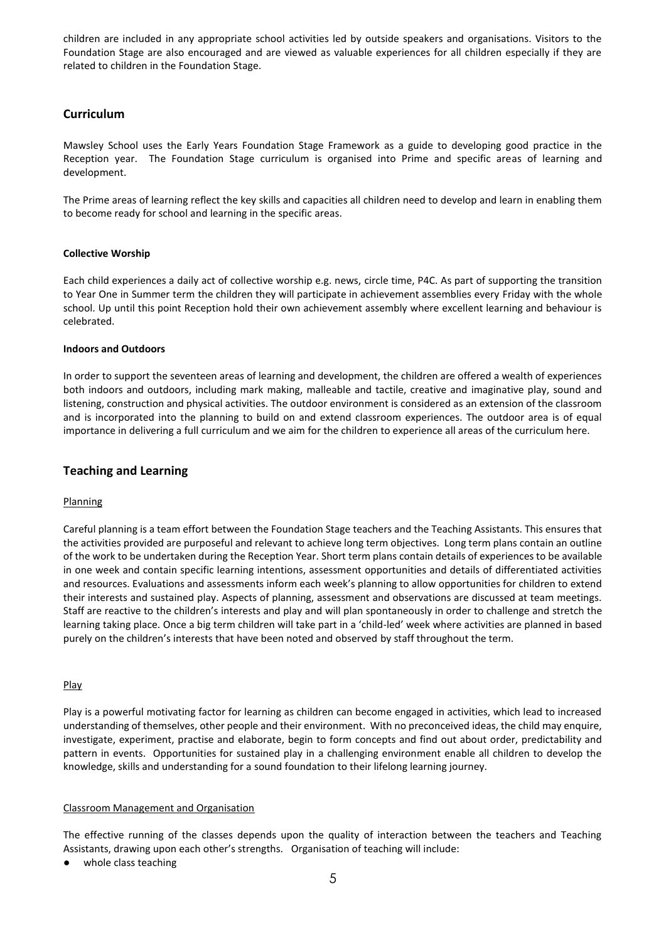children are included in any appropriate school activities led by outside speakers and organisations. Visitors to the Foundation Stage are also encouraged and are viewed as valuable experiences for all children especially if they are related to children in the Foundation Stage.

## **Curriculum**

Mawsley School uses the Early Years Foundation Stage Framework as a guide to developing good practice in the Reception year. The Foundation Stage curriculum is organised into Prime and specific areas of learning and development.

The Prime areas of learning reflect the key skills and capacities all children need to develop and learn in enabling them to become ready for school and learning in the specific areas.

## **Collective Worship**

Each child experiences a daily act of collective worship e.g. news, circle time, P4C. As part of supporting the transition to Year One in Summer term the children they will participate in achievement assemblies every Friday with the whole school. Up until this point Reception hold their own achievement assembly where excellent learning and behaviour is celebrated.

## **Indoors and Outdoors**

In order to support the seventeen areas of learning and development, the children are offered a wealth of experiences both indoors and outdoors, including mark making, malleable and tactile, creative and imaginative play, sound and listening, construction and physical activities. The outdoor environment is considered as an extension of the classroom and is incorporated into the planning to build on and extend classroom experiences. The outdoor area is of equal importance in delivering a full curriculum and we aim for the children to experience all areas of the curriculum here.

## **Teaching and Learning**

## **Planning**

Careful planning is a team effort between the Foundation Stage teachers and the Teaching Assistants. This ensures that the activities provided are purposeful and relevant to achieve long term objectives. Long term plans contain an outline of the work to be undertaken during the Reception Year. Short term plans contain details of experiences to be available in one week and contain specific learning intentions, assessment opportunities and details of differentiated activities and resources. Evaluations and assessments inform each week's planning to allow opportunities for children to extend their interests and sustained play. Aspects of planning, assessment and observations are discussed at team meetings. Staff are reactive to the children's interests and play and will plan spontaneously in order to challenge and stretch the learning taking place. Once a big term children will take part in a 'child-led' week where activities are planned in based purely on the children's interests that have been noted and observed by staff throughout the term.

## Play

Play is a powerful motivating factor for learning as children can become engaged in activities, which lead to increased understanding of themselves, other people and their environment. With no preconceived ideas, the child may enquire, investigate, experiment, practise and elaborate, begin to form concepts and find out about order, predictability and pattern in events. Opportunities for sustained play in a challenging environment enable all children to develop the knowledge, skills and understanding for a sound foundation to their lifelong learning journey.

## Classroom Management and Organisation

The effective running of the classes depends upon the quality of interaction between the teachers and Teaching Assistants, drawing upon each other's strengths. Organisation of teaching will include:

whole class teaching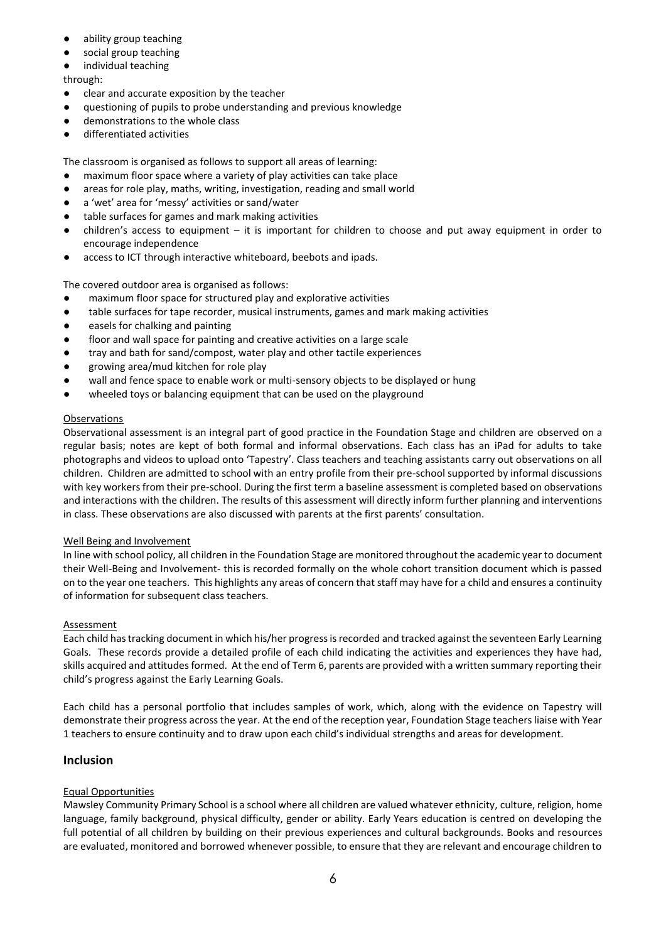- ability group teaching
- social group teaching
- individual teaching

through:

- clear and accurate exposition by the teacher
- questioning of pupils to probe understanding and previous knowledge
- demonstrations to the whole class
- differentiated activities

The classroom is organised as follows to support all areas of learning:

- maximum floor space where a variety of play activities can take place
- areas for role play, maths, writing, investigation, reading and small world
- a 'wet' area for 'messy' activities or sand/water
- table surfaces for games and mark making activities
- $children's access to equipment it is important for children to choose and put away equipment in order to$ encourage independence
- access to ICT through interactive whiteboard, beebots and ipads.

The covered outdoor area is organised as follows:

- maximum floor space for structured play and explorative activities
- table surfaces for tape recorder, musical instruments, games and mark making activities
- easels for chalking and painting
- floor and wall space for painting and creative activities on a large scale
- tray and bath for sand/compost, water play and other tactile experiences
- growing area/mud kitchen for role play
- wall and fence space to enable work or multi-sensory objects to be displayed or hung
- wheeled toys or balancing equipment that can be used on the playground

## Observations

Observational assessment is an integral part of good practice in the Foundation Stage and children are observed on a regular basis; notes are kept of both formal and informal observations. Each class has an iPad for adults to take photographs and videos to upload onto 'Tapestry'. Class teachers and teaching assistants carry out observations on all children. Children are admitted to school with an entry profile from their pre-school supported by informal discussions with key workers from their pre-school. During the first term a baseline assessment is completed based on observations and interactions with the children. The results of this assessment will directly inform further planning and interventions in class. These observations are also discussed with parents at the first parents' consultation.

## Well Being and Involvement

In line with school policy, all children in the Foundation Stage are monitored throughout the academic year to document their Well-Being and Involvement- this is recorded formally on the whole cohort transition document which is passed on to the year one teachers. This highlights any areas of concern that staff may have for a child and ensures a continuity of information for subsequent class teachers.

## **Assessment**

Each child has tracking document in which his/her progress is recorded and tracked against the seventeen Early Learning Goals. These records provide a detailed profile of each child indicating the activities and experiences they have had, skills acquired and attitudes formed. At the end of Term 6, parents are provided with a written summary reporting their child's progress against the Early Learning Goals.

Each child has a personal portfolio that includes samples of work, which, along with the evidence on Tapestry will demonstrate their progress across the year. At the end of the reception year, Foundation Stage teachers liaise with Year 1 teachers to ensure continuity and to draw upon each child's individual strengths and areas for development.

## **Inclusion**

## Equal Opportunities

Mawsley Community Primary School is a school where all children are valued whatever ethnicity, culture, religion, home language, family background, physical difficulty, gender or ability. Early Years education is centred on developing the full potential of all children by building on their previous experiences and cultural backgrounds. Books and resources are evaluated, monitored and borrowed whenever possible, to ensure that they are relevant and encourage children to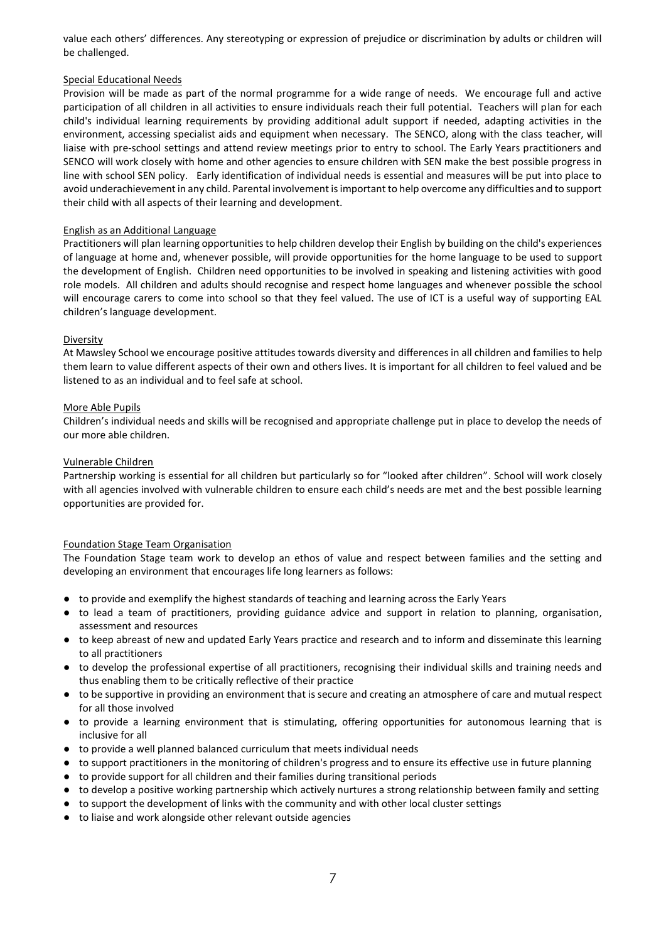value each others' differences. Any stereotyping or expression of prejudice or discrimination by adults or children will be challenged.

## Special Educational Needs

Provision will be made as part of the normal programme for a wide range of needs. We encourage full and active participation of all children in all activities to ensure individuals reach their full potential. Teachers will plan for each child's individual learning requirements by providing additional adult support if needed, adapting activities in the environment, accessing specialist aids and equipment when necessary. The SENCO, along with the class teacher, will liaise with pre-school settings and attend review meetings prior to entry to school. The Early Years practitioners and SENCO will work closely with home and other agencies to ensure children with SEN make the best possible progress in line with school SEN policy. Early identification of individual needs is essential and measures will be put into place to avoid underachievement in any child. Parental involvement is important to help overcome any difficulties and to support their child with all aspects of their learning and development.

## English as an Additional Language

Practitioners will plan learning opportunities to help children develop their English by building on the child's experiences of language at home and, whenever possible, will provide opportunities for the home language to be used to support the development of English. Children need opportunities to be involved in speaking and listening activities with good role models. All children and adults should recognise and respect home languages and whenever possible the school will encourage carers to come into school so that they feel valued. The use of ICT is a useful way of supporting EAL children's language development.

## Diversity

At Mawsley School we encourage positive attitudes towards diversity and differences in all children and families to help them learn to value different aspects of their own and others lives. It is important for all children to feel valued and be listened to as an individual and to feel safe at school.

## More Able Pupils

Children's individual needs and skills will be recognised and appropriate challenge put in place to develop the needs of our more able children.

## Vulnerable Children

Partnership working is essential for all children but particularly so for "looked after children". School will work closely with all agencies involved with vulnerable children to ensure each child's needs are met and the best possible learning opportunities are provided for.

## Foundation Stage Team Organisation

The Foundation Stage team work to develop an ethos of value and respect between families and the setting and developing an environment that encourages life long learners as follows:

- to provide and exemplify the highest standards of teaching and learning across the Early Years
- to lead a team of practitioners, providing guidance advice and support in relation to planning, organisation, assessment and resources
- to keep abreast of new and updated Early Years practice and research and to inform and disseminate this learning to all practitioners
- to develop the professional expertise of all practitioners, recognising their individual skills and training needs and thus enabling them to be critically reflective of their practice
- to be supportive in providing an environment that is secure and creating an atmosphere of care and mutual respect for all those involved
- to provide a learning environment that is stimulating, offering opportunities for autonomous learning that is inclusive for all
- to provide a well planned balanced curriculum that meets individual needs
- to support practitioners in the monitoring of children's progress and to ensure its effective use in future planning
- to provide support for all children and their families during transitional periods
- to develop a positive working partnership which actively nurtures a strong relationship between family and setting
- to support the development of links with the community and with other local cluster settings
- to liaise and work alongside other relevant outside agencies